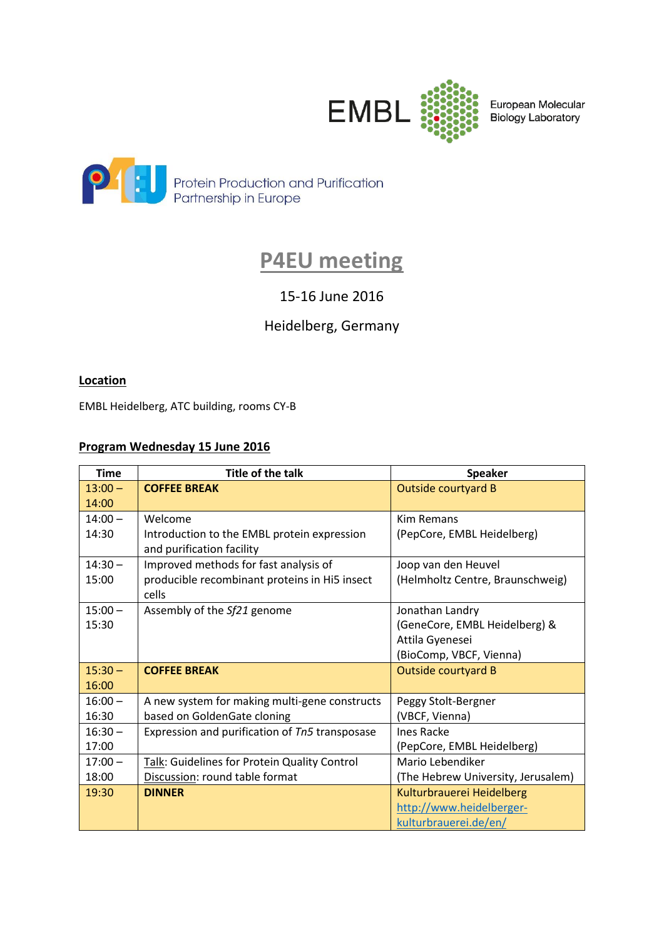

European Molecular **Biology Laboratory** 



# **P4EU meeting**

## 15-16 June 2016

## Heidelberg, Germany

## **Location**

EMBL Heidelberg, ATC building, rooms CY-B

## **Program Wednesday 15 June 2016**

| <b>Time</b> | <b>Title of the talk</b>                       | <b>Speaker</b>                     |
|-------------|------------------------------------------------|------------------------------------|
| $13:00 -$   | <b>COFFEE BREAK</b>                            | <b>Outside courtyard B</b>         |
| 14:00       |                                                |                                    |
| $14:00 -$   | Welcome                                        | <b>Kim Remans</b>                  |
| 14:30       | Introduction to the EMBL protein expression    | (PepCore, EMBL Heidelberg)         |
|             | and purification facility                      |                                    |
| $14:30 -$   | Improved methods for fast analysis of          | Joop van den Heuvel                |
| 15:00       | producible recombinant proteins in Hi5 insect  | (Helmholtz Centre, Braunschweig)   |
|             | cells                                          |                                    |
| $15:00 -$   | Assembly of the Sf21 genome                    | Jonathan Landry                    |
| 15:30       |                                                | (GeneCore, EMBL Heidelberg) &      |
|             |                                                | Attila Gyenesei                    |
|             |                                                | (BioComp, VBCF, Vienna)            |
| $15:30 -$   | <b>COFFEE BREAK</b>                            | Outside courtyard B                |
| 16:00       |                                                |                                    |
| $16:00 -$   | A new system for making multi-gene constructs  | Peggy Stolt-Bergner                |
| 16:30       | based on GoldenGate cloning                    | (VBCF, Vienna)                     |
| $16:30 -$   | Expression and purification of Tn5 transposase | <b>Ines Racke</b>                  |
| 17:00       |                                                | (PepCore, EMBL Heidelberg)         |
| $17:00 -$   | Talk: Guidelines for Protein Quality Control   | Mario Lebendiker                   |
| 18:00       | Discussion: round table format                 | (The Hebrew University, Jerusalem) |
| 19:30       | <b>DINNER</b>                                  | Kulturbrauerei Heidelberg          |
|             |                                                | http://www.heidelberger-           |
|             |                                                | kulturbrauerei.de/en/              |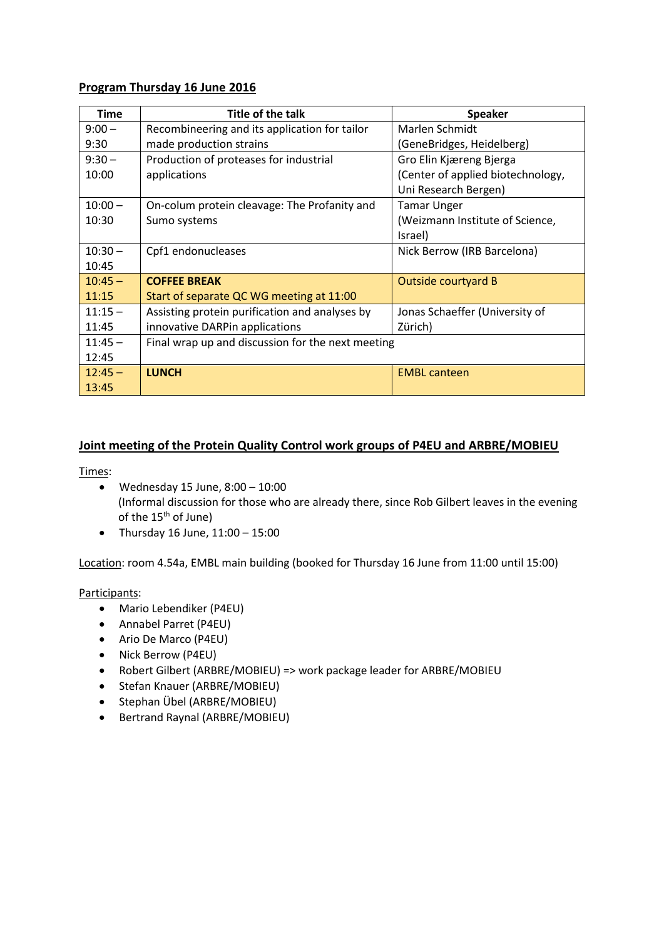#### **Program Thursday 16 June 2016**

| <b>Time</b> | Title of the talk                                 | <b>Speaker</b>                    |
|-------------|---------------------------------------------------|-----------------------------------|
| $9:00 -$    | Recombineering and its application for tailor     | Marlen Schmidt                    |
| 9:30        | made production strains                           | (GeneBridges, Heidelberg)         |
| $9:30 -$    | Production of proteases for industrial            | Gro Elin Kjæreng Bjerga           |
| 10:00       | applications                                      | (Center of applied biotechnology, |
|             |                                                   | Uni Research Bergen)              |
| $10:00 -$   | On-colum protein cleavage: The Profanity and      | <b>Tamar Unger</b>                |
| 10:30       | Sumo systems                                      | (Weizmann Institute of Science,   |
|             |                                                   | Israel)                           |
| $10:30 -$   | Cpf1 endonucleases                                | Nick Berrow (IRB Barcelona)       |
| 10:45       |                                                   |                                   |
| $10:45 -$   | <b>COFFEE BREAK</b>                               | Outside courtyard B               |
| 11:15       | Start of separate QC WG meeting at 11:00          |                                   |
| $11:15 -$   | Assisting protein purification and analyses by    | Jonas Schaeffer (University of    |
| 11:45       | innovative DARPin applications                    | Zürich)                           |
| $11:45 -$   | Final wrap up and discussion for the next meeting |                                   |
| 12:45       |                                                   |                                   |
| $12:45 -$   | <b>LUNCH</b>                                      | <b>EMBL canteen</b>               |
| 13:45       |                                                   |                                   |

### **Joint meeting of the Protein Quality Control work groups of P4EU and ARBRE/MOBIEU**

Times:

- Wednesday 15 June,  $8:00 10:00$ (Informal discussion for those who are already there, since Rob Gilbert leaves in the evening of the 15<sup>th</sup> of June)
- Thursday 16 June,  $11:00 15:00$

Location: room 4.54a, EMBL main building (booked for Thursday 16 June from 11:00 until 15:00)

### Participants:

- Mario Lebendiker (P4EU)
- Annabel Parret (P4EU)
- Ario De Marco (P4EU)
- Nick Berrow (P4EU)
- Robert Gilbert (ARBRE/MOBIEU) => work package leader for ARBRE/MOBIEU
- Stefan Knauer (ARBRE/MOBIEU)
- Stephan Übel (ARBRE/MOBIEU)
- Bertrand Raynal (ARBRE/MOBIEU)